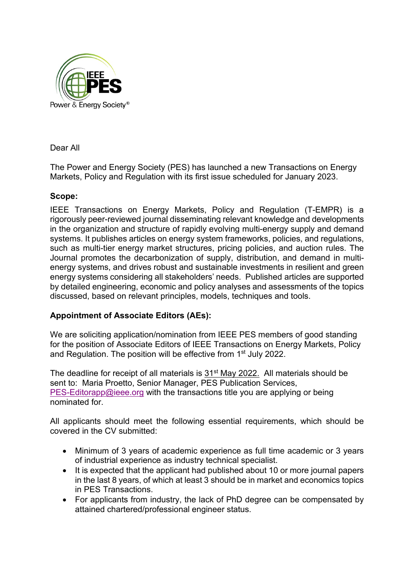

Dear All

The Power and Energy Society (PES) has launched a new Transactions on Energy Markets, Policy and Regulation with its first issue scheduled for January 2023.

## **Scope:**

IEEE Transactions on Energy Markets, Policy and Regulation (T-EMPR) is a rigorously peer-reviewed journal disseminating relevant knowledge and developments in the organization and structure of rapidly evolving multi-energy supply and demand systems. It publishes articles on energy system frameworks, policies, and regulations, such as multi-tier energy market structures, pricing policies, and auction rules. The Journal promotes the decarbonization of supply, distribution, and demand in multienergy systems, and drives robust and sustainable investments in resilient and green energy systems considering all stakeholders' needs. Published articles are supported by detailed engineering, economic and policy analyses and assessments of the topics discussed, based on relevant principles, models, techniques and tools.

## **Appointment of Associate Editors (AEs):**

We are soliciting application/nomination from IEEE PES members of good standing for the position of Associate Editors of IEEE Transactions on Energy Markets, Policy and Regulation. The position will be effective from 1st July 2022.

The deadline for receipt of all materials is 31<sup>st</sup> May 2022. All materials should be sent to: Maria Proetto, Senior Manager, PES Publication Services, [PES-Editorapp@ieee.org](mailto:PES-Editorapp@ieee.org) with the transactions title you are applying or being nominated for.

All applicants should meet the following essential requirements, which should be covered in the CV submitted:

- Minimum of 3 years of academic experience as full time academic or 3 years of industrial experience as industry technical specialist.
- It is expected that the applicant had published about 10 or more journal papers in the last 8 years, of which at least 3 should be in market and economics topics in PES Transactions.
- For applicants from industry, the lack of PhD degree can be compensated by attained chartered/professional engineer status.